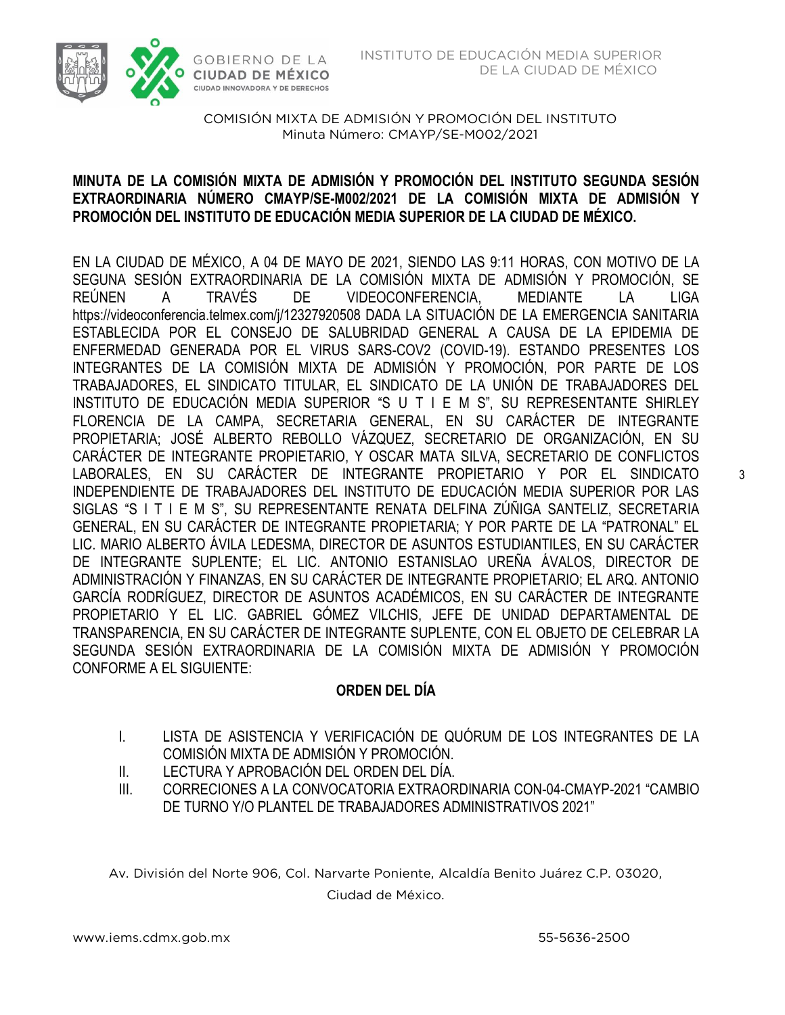

### **MINUTA DE LA COMISIÓN MIXTA DE ADMISIÓN Y PROMOCIÓN DEL INSTITUTO SEGUNDA SESIÓN EXTRAORDINARIA NÚMERO CMAYP/SE-M002/2021 DE LA COMISIÓN MIXTA DE ADMISIÓN Y PROMOCIÓN DEL INSTITUTO DE EDUCACIÓN MEDIA SUPERIOR DE LA CIUDAD DE MÉXICO.**

EN LA CIUDAD DE MÉXICO, A 04 DE MAYO DE 2021, SIENDO LAS 9:11 HORAS, CON MOTIVO DE LA SEGUNA SESIÓN EXTRAORDINARIA DE LA COMISIÓN MIXTA DE ADMISIÓN Y PROMOCIÓN, SE REÚNEN A TRAVÉS DE VIDEOCONFERENCIA, MEDIANTE LA LIGA https://videoconferencia.telmex.com/j/12327920508 DADA LA SITUACIÓN DE LA EMERGENCIA SANITARIA ESTABLECIDA POR EL CONSEJO DE SALUBRIDAD GENERAL A CAUSA DE LA EPIDEMIA DE ENFERMEDAD GENERADA POR EL VIRUS SARS-COV2 (COVID-19). ESTANDO PRESENTES LOS INTEGRANTES DE LA COMISIÓN MIXTA DE ADMISIÓN Y PROMOCIÓN, POR PARTE DE LOS TRABAJADORES, EL SINDICATO TITULAR, EL SINDICATO DE LA UNIÓN DE TRABAJADORES DEL INSTITUTO DE EDUCACIÓN MEDIA SUPERIOR "S U T I E M S", SU REPRESENTANTE SHIRLEY FLORENCIA DE LA CAMPA, SECRETARIA GENERAL, EN SU CARÁCTER DE INTEGRANTE PROPIETARIA; JOSÉ ALBERTO REBOLLO VÁZQUEZ, SECRETARIO DE ORGANIZACIÓN, EN SU CARÁCTER DE INTEGRANTE PROPIETARIO, Y OSCAR MATA SILVA, SECRETARIO DE CONFLICTOS LABORALES, EN SU CARÁCTER DE INTEGRANTE PROPIETARIO Y POR EL SINDICATO INDEPENDIENTE DE TRABAJADORES DEL INSTITUTO DE EDUCACIÓN MEDIA SUPERIOR POR LAS SIGLAS "S I T I E M S", SU REPRESENTANTE RENATA DELFINA ZÚÑIGA SANTELIZ, SECRETARIA GENERAL, EN SU CARÁCTER DE INTEGRANTE PROPIETARIA; Y POR PARTE DE LA "PATRONAL" EL LIC. MARIO ALBERTO ÁVILA LEDESMA, DIRECTOR DE ASUNTOS ESTUDIANTILES, EN SU CARÁCTER DE INTEGRANTE SUPLENTE; EL LIC. ANTONIO ESTANISLAO UREÑA ÁVALOS, DIRECTOR DE ADMINISTRACIÓN Y FINANZAS, EN SU CARÁCTER DE INTEGRANTE PROPIETARIO; EL ARQ. ANTONIO GARCÍA RODRÍGUEZ, DIRECTOR DE ASUNTOS ACADÉMICOS, EN SU CARÁCTER DE INTEGRANTE PROPIETARIO Y EL LIC. GABRIEL GÓMEZ VILCHIS, JEFE DE UNIDAD DEPARTAMENTAL DE TRANSPARENCIA, EN SU CARÁCTER DE INTEGRANTE SUPLENTE, CON EL OBJETO DE CELEBRAR LA SEGUNDA SESIÓN EXTRAORDINARIA DE LA COMISIÓN MIXTA DE ADMISIÓN Y PROMOCIÓN CONFORME A EL SIGUIENTE:

### **ORDEN DEL DÍA**

- I. LISTA DE ASISTENCIA Y VERIFICACIÓN DE QUÓRUM DE LOS INTEGRANTES DE LA COMISIÓN MIXTA DE ADMISIÓN Y PROMOCIÓN.
- II. LECTURA Y APROBACIÓN DEL ORDEN DEL DÍA.
- III. CORRECIONES A LA CONVOCATORIA EXTRAORDINARIA CON-04-CMAYP-2021 "CAMBIO DE TURNO Y/O PLANTEL DE TRABAJADORES ADMINISTRATIVOS 2021"

Av. División del Norte 906, Col. Narvarte Poniente, Alcaldía Benito Juárez C.P. 03020,

Ciudad de México.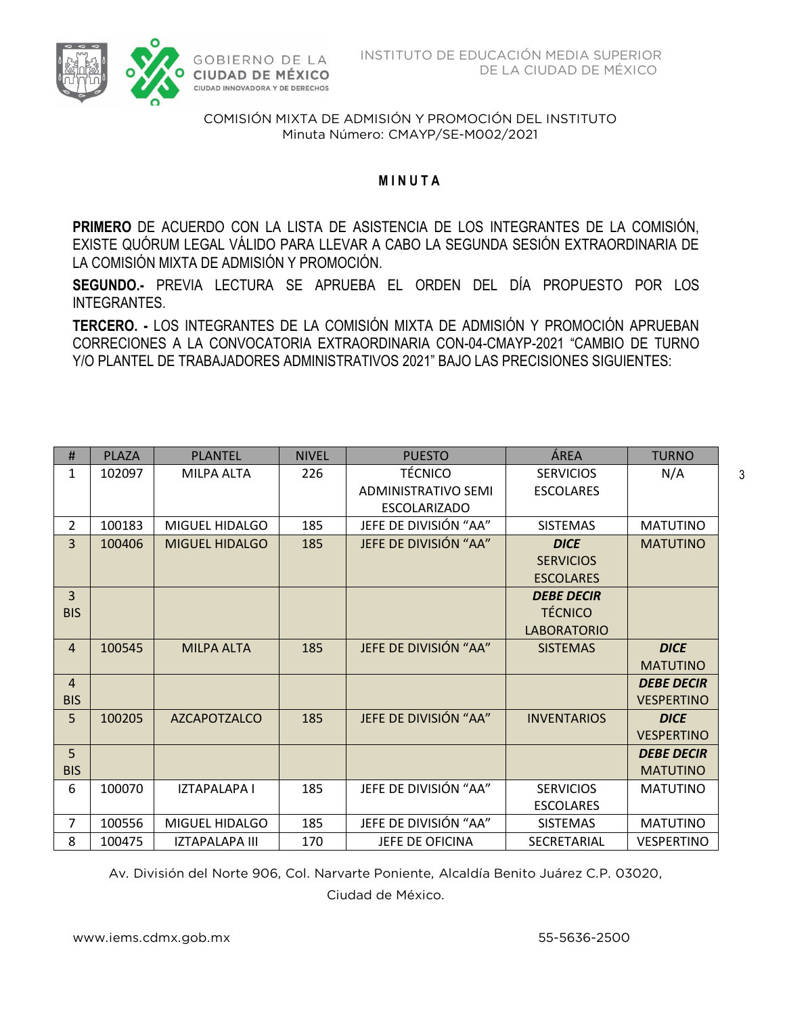

### **M I N U T A**

**PRIMERO** DE ACUERDO CON LA LISTA DE ASISTENCIA DE LOS INTEGRANTES DE LA COMISIÓN, EXISTE QUÓRUM LEGAL VÁLIDO PARA LLEVAR A CABO LA SEGUNDA SESIÓN EXTRAORDINARIA DE LA COMISIÓN MIXTA DE ADMISIÓN Y PROMOCIÓN.

**SEGUNDO.-** PREVIA LECTURA SE APRUEBA EL ORDEN DEL DÍA PROPUESTO POR LOS INTEGRANTES.

**TERCERO. -** LOS INTEGRANTES DE LA COMISIÓN MIXTA DE ADMISIÓN Y PROMOCIÓN APRUEBAN CORRECIONES A LA CONVOCATORIA EXTRAORDINARIA CON-04-CMAYP-2021 "CAMBIO DE TURNO Y/O PLANTEL DE TRABAJADORES ADMINISTRATIVOS 2021" BAJO LAS PRECISIONES SIGUIENTES:

| #              | <b>PLAZA</b> | <b>PLANTEL</b>        | <b>NIVEL</b> | <b>PUESTO</b>              | ÁREA               | <b>TURNO</b>      |
|----------------|--------------|-----------------------|--------------|----------------------------|--------------------|-------------------|
| 1              | 102097       | MILPA ALTA            | 226          | <b>TÉCNICO</b>             | <b>SERVICIOS</b>   | N/A               |
|                |              |                       |              | <b>ADMINISTRATIVO SEMI</b> | <b>ESCOLARES</b>   |                   |
|                |              |                       |              | <b>ESCOLARIZADO</b>        |                    |                   |
| 2              | 100183       | MIGUEL HIDALGO        | 185          | JEFE DE DIVISIÓN "AA"      | <b>SISTEMAS</b>    | <b>MATUTINO</b>   |
| 3              | 100406       | <b>MIGUEL HIDALGO</b> | 185          | JEFE DE DIVISIÓN "AA"      | <b>DICE</b>        | <b>MATUTINO</b>   |
|                |              |                       |              |                            | <b>SERVICIOS</b>   |                   |
|                |              |                       |              |                            | <b>ESCOLARES</b>   |                   |
| $\overline{3}$ |              |                       |              |                            | <b>DEBE DECIR</b>  |                   |
| <b>BIS</b>     |              |                       |              |                            | <b>TÉCNICO</b>     |                   |
|                |              |                       |              |                            | <b>LABORATORIO</b> |                   |
| $\overline{4}$ | 100545       | <b>MILPA ALTA</b>     | 185          | JEFE DE DIVISIÓN "AA"      | <b>SISTEMAS</b>    | <b>DICE</b>       |
|                |              |                       |              |                            |                    | <b>MATUTINO</b>   |
| $\overline{4}$ |              |                       |              |                            |                    | <b>DEBE DECIR</b> |
| <b>BIS</b>     |              |                       |              |                            |                    | <b>VESPERTINO</b> |
| 5              | 100205       | <b>AZCAPOTZALCO</b>   | 185          | JEFE DE DIVISIÓN "AA"      | <b>INVENTARIOS</b> | <b>DICE</b>       |
|                |              |                       |              |                            |                    | <b>VESPERTINO</b> |
| 5              |              |                       |              |                            |                    | <b>DEBE DECIR</b> |
| <b>BIS</b>     |              |                       |              |                            |                    | <b>MATUTINO</b>   |
| 6              | 100070       | <b>IZTAPALAPA I</b>   | 185          | JEFE DE DIVISIÓN "AA"      | <b>SERVICIOS</b>   | <b>MATUTINO</b>   |
|                |              |                       |              |                            | <b>ESCOLARES</b>   |                   |
| $\overline{7}$ | 100556       | MIGUEL HIDALGO        | 185          | JEFE DE DIVISIÓN "AA"      | <b>SISTEMAS</b>    | <b>MATUTINO</b>   |
| 8              | 100475       | <b>IZTAPALAPA III</b> | 170          | JEFE DE OFICINA            | SECRETARIAL        | <b>VESPERTINO</b> |

Av. División del Norte 906, Col. Narvarte Poniente, Alcaldía Benito Juárez C.P. 03020,

Ciudad de México.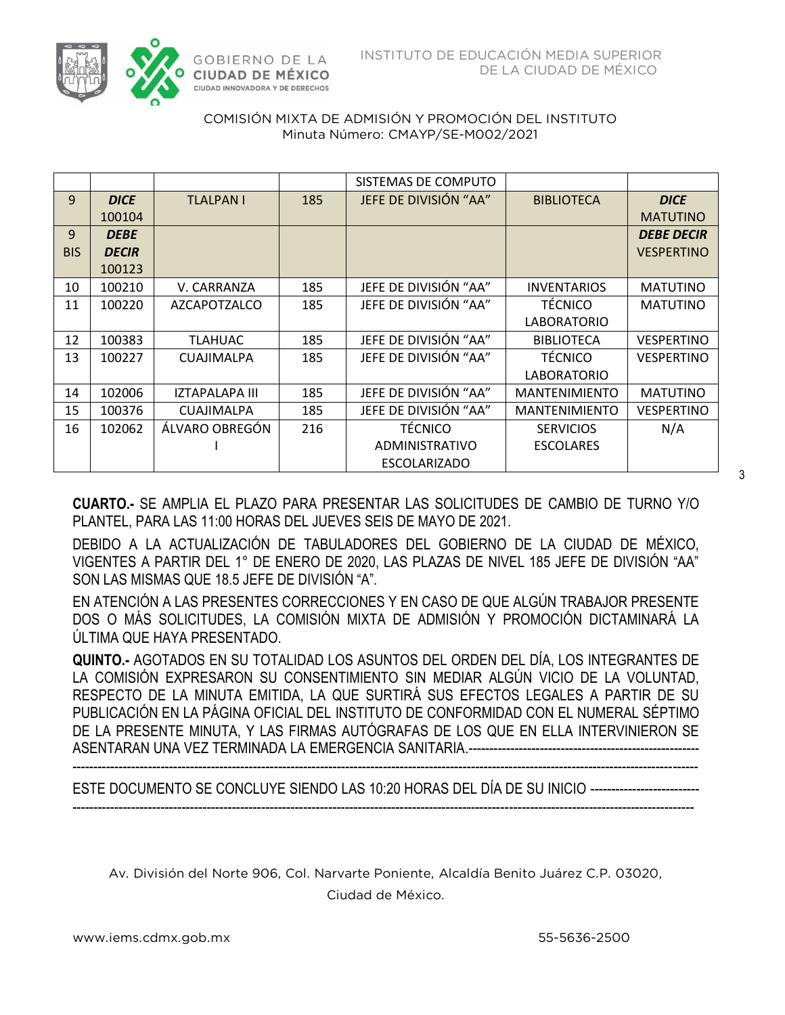

|            |              |                   |     | SISTEMAS DE COMPUTO   |                      |                   |
|------------|--------------|-------------------|-----|-----------------------|----------------------|-------------------|
| 9          | <b>DICE</b>  | <b>TLALPAN I</b>  | 185 | JEFE DE DIVISIÓN "AA" | <b>BIBLIOTECA</b>    | <b>DICE</b>       |
|            | 100104       |                   |     |                       |                      | <b>MATUTINO</b>   |
| 9          | <b>DEBE</b>  |                   |     |                       |                      | <b>DEBE DECIR</b> |
| <b>BIS</b> | <b>DECIR</b> |                   |     |                       |                      | <b>VESPERTINO</b> |
|            | 100123       |                   |     |                       |                      |                   |
| 10         | 100210       | V. CARRANZA       | 185 | JEFE DE DIVISIÓN "AA" | <b>INVENTARIOS</b>   | <b>MATUTINO</b>   |
| 11         | 100220       | AZCAPOTZALCO      | 185 | JEFE DE DIVISIÓN "AA" | <b>TÉCNICO</b>       | <b>MATUTINO</b>   |
|            |              |                   |     |                       | <b>LABORATORIO</b>   |                   |
| 12         | 100383       | <b>TLAHUAC</b>    | 185 | JEFE DE DIVISIÓN "AA" | <b>BIBLIOTECA</b>    | <b>VESPERTINO</b> |
| 13         | 100227       | <b>CUAJIMALPA</b> | 185 | JEFE DE DIVISIÓN "AA" | <b>TÉCNICO</b>       | <b>VESPERTINO</b> |
|            |              |                   |     |                       | <b>LABORATORIO</b>   |                   |
| 14         | 102006       | IZTAPALAPA III    | 185 | JEFE DE DIVISIÓN "AA" | <b>MANTENIMIENTO</b> | <b>MATUTINO</b>   |
| 15         | 100376       | <b>CUAJIMALPA</b> | 185 | JEFE DE DIVISIÓN "AA" | <b>MANTENIMIENTO</b> | <b>VESPERTINO</b> |
| 16         | 102062       | ÁLVARO OBREGÓN    | 216 | <b>TÉCNICO</b>        | <b>SERVICIOS</b>     | N/A               |
|            |              |                   |     | <b>ADMINISTRATIVO</b> | <b>ESCOLARES</b>     |                   |
|            |              |                   |     | <b>ESCOLARIZADO</b>   |                      |                   |

**CUARTO.-** SE AMPLIA EL PLAZO PARA PRESENTAR LAS SOLICITUDES DE CAMBIO DE TURNO Y/O PLANTEL, PARA LAS 11:00 HORAS DEL JUEVES SEIS DE MAYO DE 2021.

DEBIDO A LA ACTUALIZACIÓN DE TABULADORES DEL GOBIERNO DE LA CIUDAD DE MÉXICO, VIGENTES A PARTIR DEL 1° DE ENERO DE 2020, LAS PLAZAS DE NIVEL 185 JEFE DE DIVISIÓN "AA" SON LAS MISMAS QUE 18.5 JEFE DE DIVISIÓN "A".

EN ATENCIÓN A LAS PRESENTES CORRECCIONES Y EN CASO DE QUE ALGÚN TRABAJOR PRESENTE DOS O MÁS SOLICITUDES, LA COMISIÓN MIXTA DE ADMISIÓN Y PROMOCIÓN DICTAMINARÁ LA ÚLTIMA QUE HAYA PRESENTADO.

**QUINTO.-** AGOTADOS EN SU TOTALIDAD LOS ASUNTOS DEL ORDEN DEL DÍA, LOS INTEGRANTES DE LA COMISIÓN EXPRESARON SU CONSENTIMIENTO SIN MEDIAR ALGÚN VICIO DE LA VOLUNTAD, RESPECTO DE LA MINUTA EMITIDA, LA QUE SURTIRÁ SUS EFECTOS LEGALES A PARTIR DE SU PUBLICACIÓN EN LA PÁGINA OFICIAL DEL INSTITUTO DE CONFORMIDAD CON EL NUMERAL SÉPTIMO DE LA PRESENTE MINUTA, Y LAS FIRMAS AUTÓGRAFAS DE LOS QUE EN ELLA INTERVINIERON SE ASENTARAN UNA VEZ TERMINADA LA EMERGENCIA SANITARIA.-------------------------------------------------------

-----------------------------------------------------------------------------------------------------------------------------------------------------

ESTE DOCUMENTO SE CONCLUYE SIENDO LAS 10:20 HORAS DEL DÍA DE SU INICIO -------------------------- ----------------------------------------------------------------------------------------------------------------------------------------------------

Av. División del Norte 906, Col. Narvarte Poniente, Alcaldía Benito Juárez C.P. 03020,

Ciudad de México.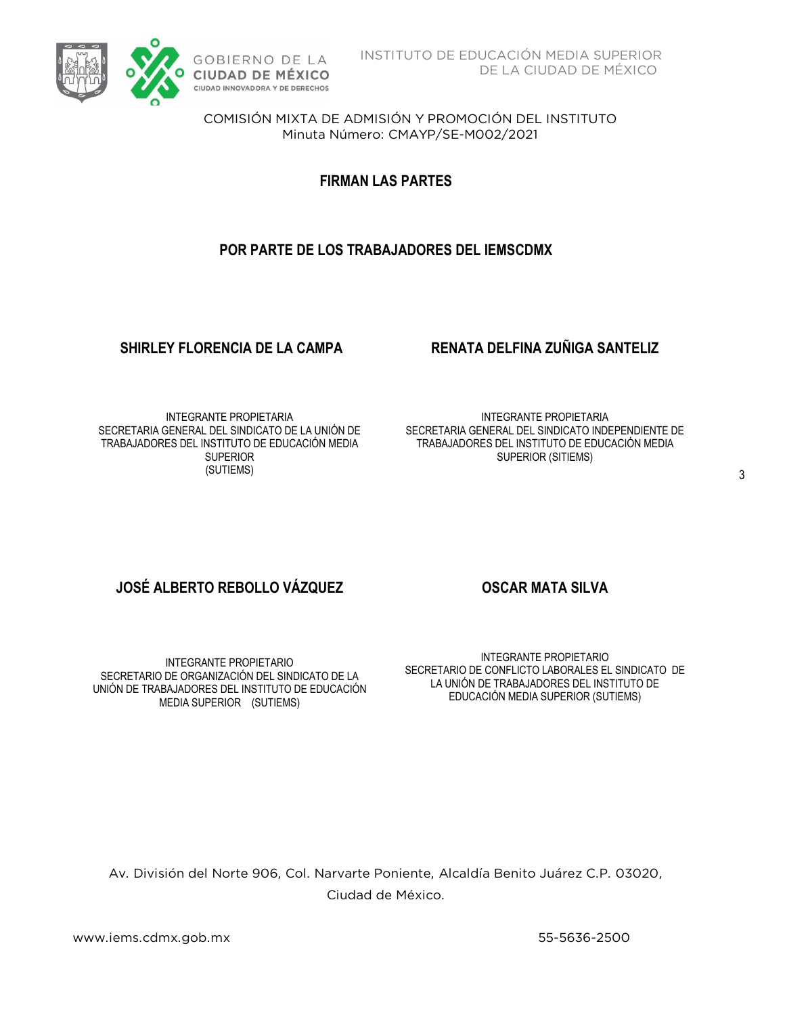

**FIRMAN LAS PARTES**

### **POR PARTE DE LOS TRABAJADORES DEL IEMSCDMX**

### **SHIRLEY FLORENCIA DE LA CAMPA RENATA DELFINA ZUÑIGA SANTELIZ**

INTEGRANTE PROPIETARIA SECRETARIA GENERAL DEL SINDICATO DE LA UNIÓN DE TRABAJADORES DEL INSTITUTO DE EDUCACIÓN MEDIA **SUPERIOR** (SUTIEMS)

INTEGRANTE PROPIETARIA SECRETARIA GENERAL DEL SINDICATO INDEPENDIENTE DE TRABAJADORES DEL INSTITUTO DE EDUCACIÓN MEDIA SUPERIOR (SITIEMS)

# **JOSÉ ALBERTO REBOLLO VÁZQUEZ COSCAR MATA SILVA**

INTEGRANTE PROPIETARIO SECRETARIO DE ORGANIZACIÓN DEL SINDICATO DE LA UNIÓN DE TRABAJADORES DEL INSTITUTO DE EDUCACIÓN MEDIA SUPERIOR (SUTIEMS)

INTEGRANTE PROPIETARIO SECRETARIO DE CONFLICTO LABORALES EL SINDICATO DE LA UNIÓN DE TRABAJADORES DEL INSTITUTO DE EDUCACIÓN MEDIA SUPERIOR (SUTIEMS)

Av. División del Norte 906, Col. Narvarte Poniente, Alcaldía Benito Juárez C.P. 03020, Ciudad de México.